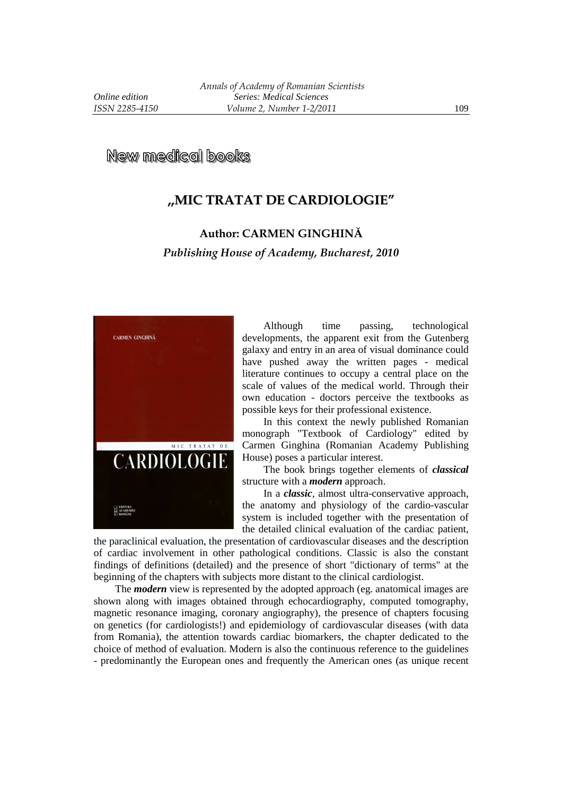**New medical books** 

## **,,MIC TRATAT DE CARDIOLOGIE"**

## **Author: CARMEN GINGHINĂ**

*Publishing House of Academy, Bucharest, 2010* 



Although time passing, technological developments, the apparent exit from the Gutenberg galaxy and entry in an area of visual dominance could have pushed away the written pages - medical literature continues to occupy a central place on the scale of values of the medical world. Through their own education - doctors perceive the textbooks as possible keys for their professional existence.

In this context the newly published Romanian monograph "Textbook of Cardiology" edited by Carmen Ginghina (Romanian Academy Publishing House) poses a particular interest.

The book brings together elements of *classical*  structure with a *modern* approach.

In a *classic*, almost ultra-conservative approach, the anatomy and physiology of the cardio-vascular system is included together with the presentation of the detailed clinical evaluation of the cardiac patient,

the paraclinical evaluation, the presentation of cardiovascular diseases and the description of cardiac involvement in other pathological conditions. Classic is also the constant findings of definitions (detailed) and the presence of short "dictionary of terms" at the beginning of the chapters with subjects more distant to the clinical cardiologist.

The *modern* view is represented by the adopted approach (eg. anatomical images are shown along with images obtained through echocardiography, computed tomography, magnetic resonance imaging, coronary angiography), the presence of chapters focusing on genetics (for cardiologists!) and epidemiology of cardiovascular diseases (with data from Romania), the attention towards cardiac biomarkers, the chapter dedicated to the choice of method of evaluation. Modern is also the continuous reference to the guidelines - predominantly the European ones and frequently the American ones (as unique recent